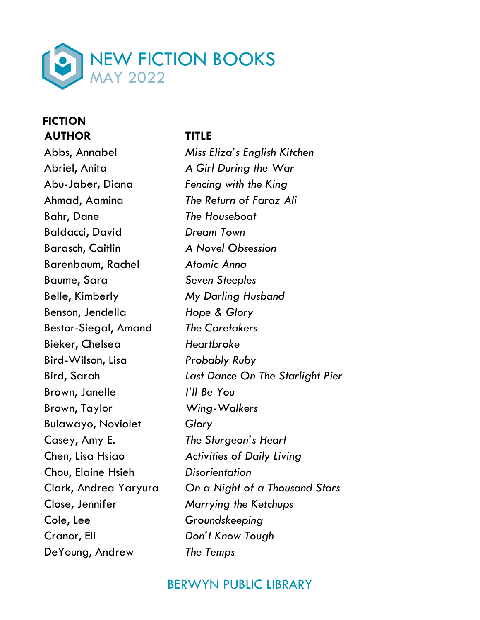

### **FICTION AUTHOR TITLE**

Abriel, Anita *A Girl During the War* Abu-Jaber, Diana *Fencing with the King* Ahmad, Aamina *The Return of Faraz Ali* Bahr, Dane *The Houseboat* Baldacci, David *Dream Town* Barasch, Caitlin *A Novel Obsession* Barenbaum, Rachel *Atomic Anna* Baume, Sara *Seven Steeples* Belle, Kimberly *My Darling Husband* Benson, Jendella *Hope & Glory* Bestor-Siegal, Amand *The Caretakers* Bieker, Chelsea *Heartbroke* Bird-Wilson, Lisa *Probably Ruby* Brown, Janelle *I'll Be You* Brown, Taylor *Wing-Walkers* Bulawayo, Noviolet *Glory* Casey, Amy E. *The Sturgeon's Heart* Chen, Lisa Hsiao *Activities of Daily Living* Chou, Elaine Hsieh *Disorientation* Close, Jennifer *Marrying the Ketchups* Cole, Lee *Groundskeeping* Cranor, Eli *Don't Know Tough* DeYoung, Andrew *The Temps*

Abbs, Annabel *Miss Eliza's English Kitchen* Bird, Sarah *Last Dance On The Starlight Pier* Clark, Andrea Yaryura *On a Night of a Thousand Stars*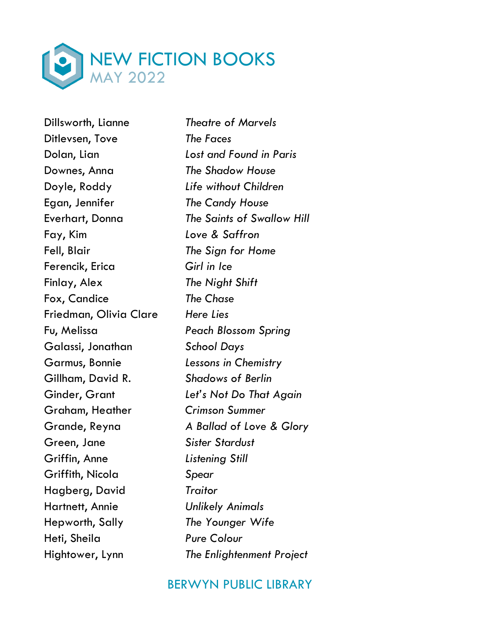

Dillsworth, Lianne *Theatre of Marvels* Ditlevsen, Tove *The Faces* Downes, Anna *The Shadow House* Doyle, Roddy *Life without Children* Egan, Jennifer *The Candy House* Fay, Kim *Love & Saffron* Fell, Blair *The Sign for Home* Ferencik, Erica *Girl in Ice* Finlay, Alex *The Night Shift* Fox, Candice *The Chase* Friedman, Olivia Clare *Here Lies* Fu, Melissa *Peach Blossom Spring* Galassi, Jonathan *School Days* Garmus, Bonnie *Lessons in Chemistry* Gillham, David R. *Shadows of Berlin* Graham, Heather *Crimson Summer* Green, Jane *Sister Stardust* Griffin, Anne *Listening Still* Griffith, Nicola *Spear* Hagberg, David *Traitor* Hartnett, Annie *Unlikely Animals* Hepworth, Sally *The Younger Wife* Heti, Sheila *Pure Colour*

Dolan, Lian *Lost and Found in Paris* Everhart, Donna *The Saints of Swallow Hill* Ginder, Grant *Let's Not Do That Again* Grande, Reyna *A Ballad of Love & Glory* Hightower, Lynn *The Enlightenment Project*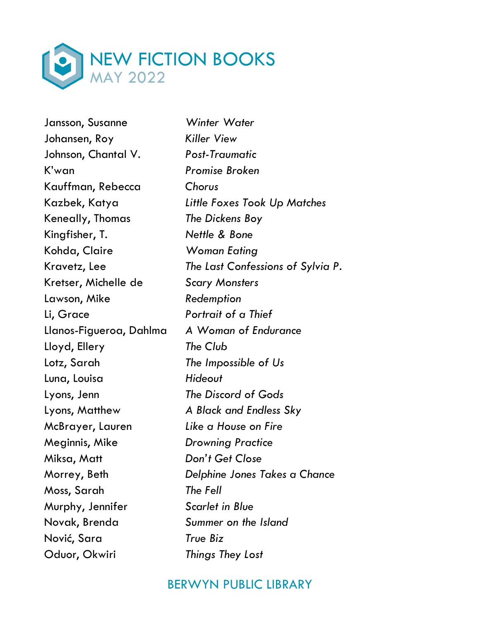

Jansson, Susanne *Winter Water* Johansen, Roy *Killer View* Johnson, Chantal V. *Post-Traumatic* K'wan *Promise Broken* Kauffman, Rebecca *Chorus* Keneally, Thomas *The Dickens Boy* Kingfisher, T. *Nettle & Bone* Kohda, Claire *Woman Eating* Kretser, Michelle de *Scary Monsters* Lawson, Mike *Redemption* Li, Grace *Portrait of a Thief* Llanos-Figueroa, Dahlma *A Woman of Endurance* Lloyd, Ellery *The Club* Lotz, Sarah *The Impossible of Us* Luna, Louisa *Hideout* Lyons, Jenn *The Discord of Gods* Lyons, Matthew *A Black and Endless Sky* McBrayer, Lauren *Like a House on Fire* Meginnis, Mike *Drowning Practice* Miksa, Matt *Don't Get Close* Moss, Sarah *The Fell* Murphy, Jennifer *Scarlet in Blue* Novak, Brenda *Summer on the Island* Nović, Sara *True Biz* Oduor, Okwiri *Things They Lost*

Kazbek, Katya *Little Foxes Took Up Matches* Kravetz, Lee *The Last Confessions of Sylvia P.* Morrey, Beth *Delphine Jones Takes a Chance*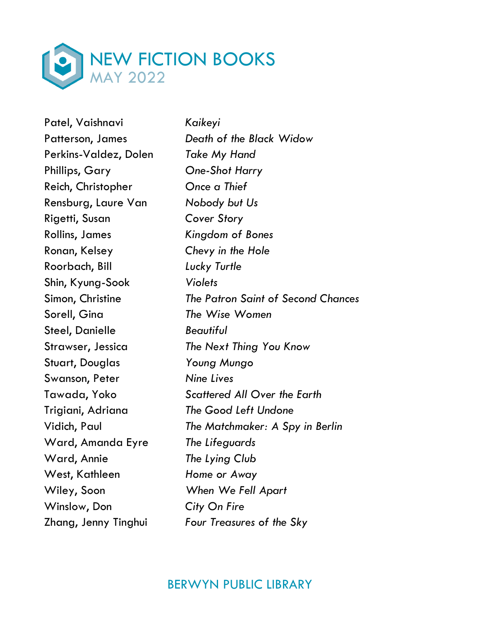

Patel, Vaishnavi *Kaikeyi* Perkins-Valdez, Dolen *Take My Hand* Phillips, Gary *One-Shot Harry* Reich, Christopher *Once a Thief* Rensburg, Laure Van *Nobody but Us* Rigetti, Susan *Cover Story* Rollins, James *Kingdom of Bones* Ronan, Kelsey *Chevy in the Hole* Roorbach, Bill *Lucky Turtle* Shin, Kyung-Sook *Violets* Sorell, Gina *The Wise Women* Steel, Danielle *Beautiful* Stuart, Douglas *Young Mungo* Swanson, Peter *Nine Lives* Trigiani, Adriana *The Good Left Undone* Ward, Amanda Eyre *The Lifeguards* Ward, Annie *The Lying Club* West, Kathleen *Home or Away* Wiley, Soon *When We Fell Apart* Winslow, Don *City On Fire*

Patterson, James *Death of the Black Widow*  Simon, Christine *The Patron Saint of Second Chances* Strawser, Jessica *The Next Thing You Know* Tawada, Yoko *Scattered All Over the Earth* Vidich, Paul *The Matchmaker: A Spy in Berlin* Zhang, Jenny Tinghui *Four Treasures of the Sky*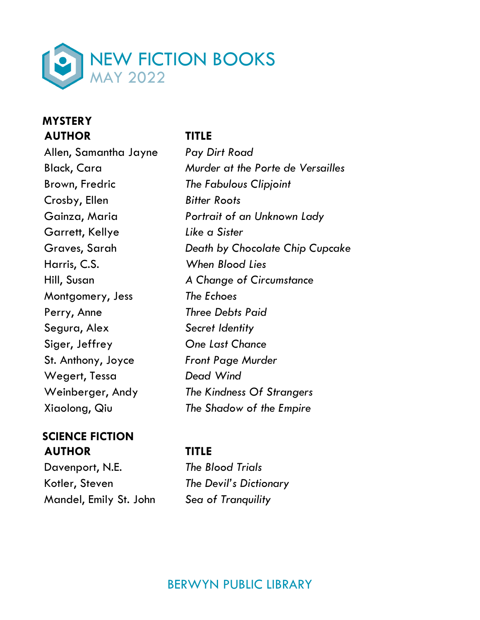

### **MYSTERY AUTHOR TITLE**

Allen, Samantha Jayne *Pay Dirt Road* Brown, Fredric *The Fabulous Clipjoint* Crosby, Ellen *Bitter Roots* Garrett, Kellye *Like a Sister* Harris, C.S. *When Blood Lies* Montgomery, Jess *The Echoes* Perry, Anne *Three Debts Paid* Segura, Alex *Secret Identity* Siger, Jeffrey *One Last Chance* St. Anthony, Joyce *Front Page Murder* Wegert, Tessa *Dead Wind* Xiaolong, Qiu *The Shadow of the Empire*

### **SCIENCE FICTION AUTHOR TITLE**

Davenport, N.E. *The Blood Trials* Kotler, Steven *The Devil's Dictionary* Mandel, Emily St. John *Sea of Tranquility*

Black, Cara *Murder at the Porte de Versailles* Gainza, Maria *Portrait of an Unknown Lady* Graves, Sarah *Death by Chocolate Chip Cupcake* Hill, Susan *A Change of Circumstance* Weinberger, Andy *The Kindness Of Strangers*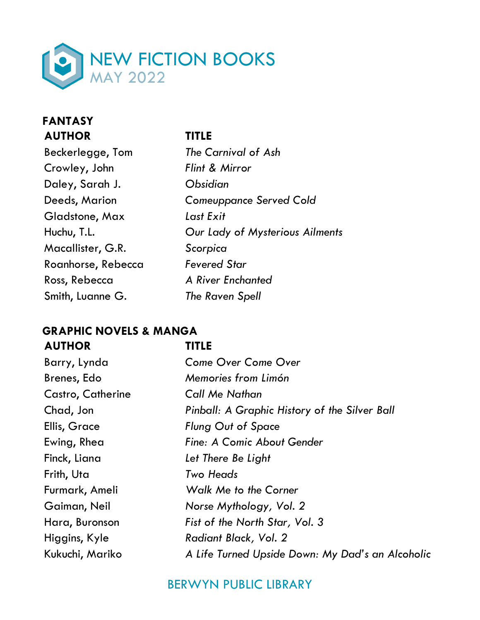

### **FANTASY AUTHOR TITLE**

| Beckerlegge, Tom   | The Carnival of Ash             |
|--------------------|---------------------------------|
| Crowley, John      | Flint & Mirror                  |
| Daley, Sarah J.    | <b>Obsidian</b>                 |
| Deeds, Marion      | <b>Comeuppance Served Cold</b>  |
| Gladstone, Max     | Last Exit                       |
| Huchu, T.L.        | Our Lady of Mysterious Ailments |
| Macallister, G.R.  | Scorpica                        |
| Roanhorse, Rebecca | Fevered Star                    |
| Ross, Rebecca      | <b>A River Enchanted</b>        |
| Smith, Luanne G.   | The Raven Spell                 |

### **GRAPHIC NOVELS & MANGA AUTHOR TITLE**

| w<br>v |  |
|--------|--|
|        |  |

| Barry, Lynda      | <b>Come Over Come Over</b>                       |
|-------------------|--------------------------------------------------|
| Brenes, Edo       | Memories from Limón                              |
| Castro, Catherine | <b>Call Me Nathan</b>                            |
| Chad, Jon         | Pinball: A Graphic History of the Silver Ball    |
| Ellis, Grace      | <b>Flung Out of Space</b>                        |
| Ewing, Rhea       | Fine: A Comic About Gender                       |
| Finck, Liana      | Let There Be Light                               |
| Frith, Uta        | Two Heads                                        |
| Furmark, Ameli    | <b>Walk Me to the Corner</b>                     |
| Gaiman, Neil      | Norse Mythology, Vol. 2                          |
| Hara, Buronson    | Fist of the North Star, Vol. 3                   |
| Higgins, Kyle     | Radiant Black, Vol. 2                            |
| Kukuchi, Mariko   | A Life Turned Upside Down: My Dad's an Alcoholic |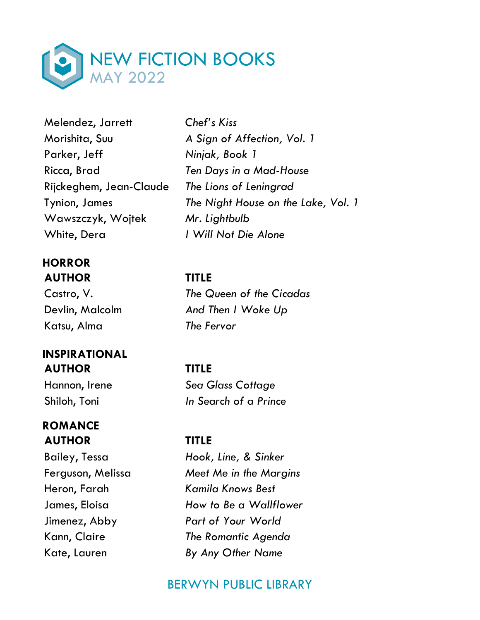

Melendez, Jarrett *Chef's Kiss* Parker, Jeff *Ninjak, Book 1*  Ricca, Brad *Ten Days in a Mad-House* Rijckeghem, Jean-Claude *The Lions of Leningrad*  Wawszczyk, Wojtek *Mr. Lightbulb* White, Dera *I Will Not Die Alone*

### **HORROR AUTHOR TITLE**

Katsu, Alma *The Fervor*

# **INSPIRATIONAL AUTHOR TITLE**

# **ROMANCE AUTHOR TITLE**

Morishita, Suu *A Sign of Affection, Vol. 1* Tynion, James *The Night House on the Lake, Vol. 1* 

Castro, V. *The Queen of the Cicadas* Devlin, Malcolm *And Then I Woke Up*

Hannon, Irene *Sea Glass Cottage* Shiloh, Toni *In Search of a Prince*

Bailey, Tessa *Hook, Line, & Sinker* Ferguson, Melissa *Meet Me in the Margins* Heron, Farah *Kamila Knows Best* James, Eloisa *How to Be a Wallflower* Jimenez, Abby *Part of Your World* Kann, Claire *The Romantic Agenda* Kate, Lauren *By Any Other Name*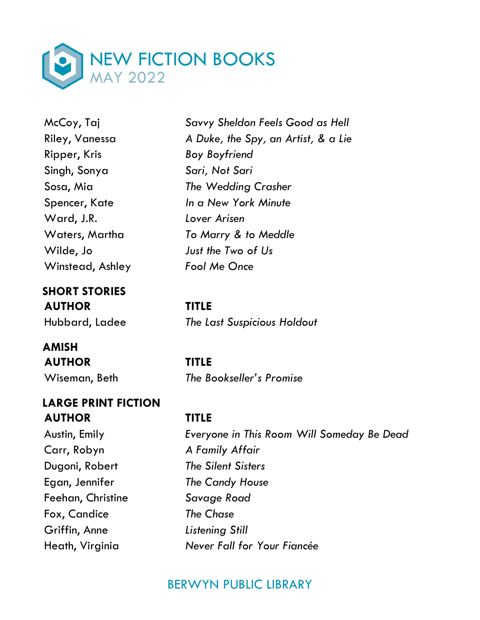

Ripper, Kris *Boy Boyfriend* Singh, Sonya *Sari, Not Sari* Ward, J.R. *Lover Arisen* Winstead, Ashley *Fool Me Once*

**SHORT STORIES AUTHOR TITLE**

**AMISH AUTHOR TITLE**

### **LARGE PRINT FICTION AUTHOR TITLE**

Carr, Robyn *A Family Affair* Dugoni, Robert *The Silent Sisters* Egan, Jennifer *The Candy House* Feehan, Christine *Savage Road* Fox, Candice *The Chase* Griffin, Anne *Listening Still*

McCoy, Taj *Savvy Sheldon Feels Good as Hell* Riley, Vanessa *A Duke, the Spy, an Artist, & a Lie* Sosa, Mia *The Wedding Crasher* Spencer, Kate *In a New York Minute* Waters, Martha *To Marry & to Meddle* Wilde, Jo *Just the Two of Us*

Hubbard, Ladee *The Last Suspicious Holdout*

Wiseman, Beth *The Bookseller's Promise*

Austin, Emily *Everyone in This Room Will Someday Be Dead*  Heath, Virginia *Never Fall for Your Fiancée*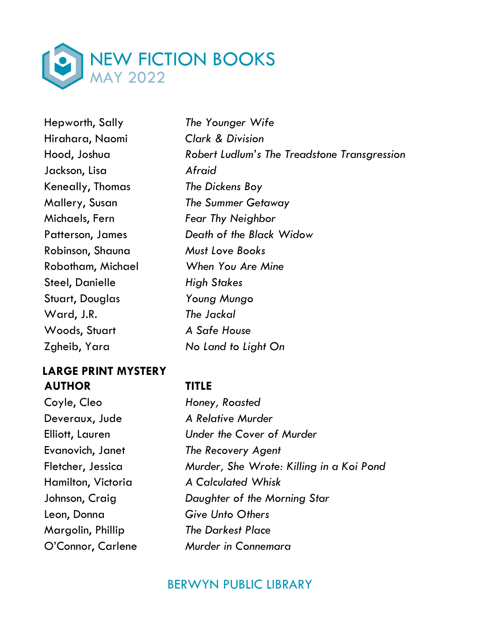

Hepworth, Sally *The Younger Wife* Hirahara, Naomi *Clark & Division* Jackson, Lisa *Afraid* Keneally, Thomas *The Dickens Boy* Michaels, Fern *Fear Thy Neighbor* Robinson, Shauna *Must Love Books* Steel, Danielle *High Stakes* Stuart, Douglas *Young Mungo* Ward, J.R. *The Jackal* Woods, Stuart *A Safe House* Zgheib, Yara *No Land to Light On*

### **LARGE PRINT MYSTERY AUTHOR TITLE**

Coyle, Cleo *Honey, Roasted* Deveraux, Jude *A Relative Murder* Leon, Donna *Give Unto Others* Margolin, Phillip *The Darkest Place*

Hood, Joshua *Robert Ludlum's The Treadstone Transgression*  Mallery, Susan *The Summer Getaway* Patterson, James *Death of the Black Widow* Robotham, Michael *When You Are Mine*

Elliott, Lauren *Under the Cover of Murder* Evanovich, Janet *The Recovery Agent* Fletcher, Jessica *Murder, She Wrote: Killing in a Koi Pond* Hamilton, Victoria *A Calculated Whisk* Johnson, Craig *Daughter of the Morning Star* O'Connor, Carlene *Murder in Connemara*